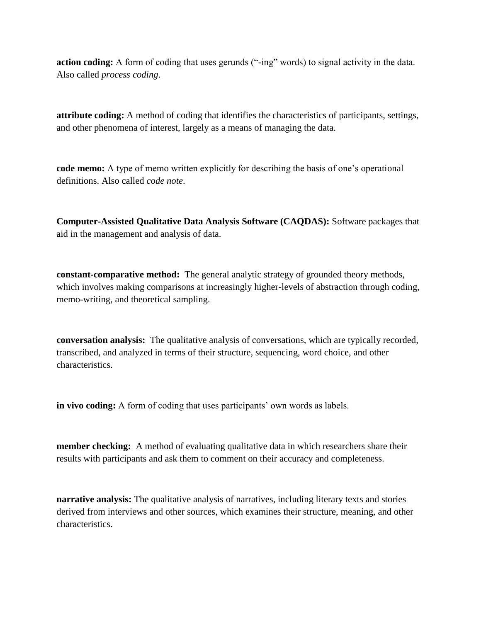**action coding:** A form of coding that uses gerunds ("-ing" words) to signal activity in the data. Also called *process coding*.

**attribute coding:** A method of coding that identifies the characteristics of participants, settings, and other phenomena of interest, largely as a means of managing the data.

**code memo:** A type of memo written explicitly for describing the basis of one's operational definitions. Also called *code note*.

**Computer-Assisted Qualitative Data Analysis Software (CAQDAS):** Software packages that aid in the management and analysis of data.

**constant-comparative method:** The general analytic strategy of grounded theory methods, which involves making comparisons at increasingly higher-levels of abstraction through coding, memo-writing, and theoretical sampling.

**conversation analysis:** The qualitative analysis of conversations, which are typically recorded, transcribed, and analyzed in terms of their structure, sequencing, word choice, and other characteristics.

**in vivo coding:** A form of coding that uses participants' own words as labels.

**member checking:** A method of evaluating qualitative data in which researchers share their results with participants and ask them to comment on their accuracy and completeness.

**narrative analysis:** The qualitative analysis of narratives, including literary texts and stories derived from interviews and other sources, which examines their structure, meaning, and other characteristics.